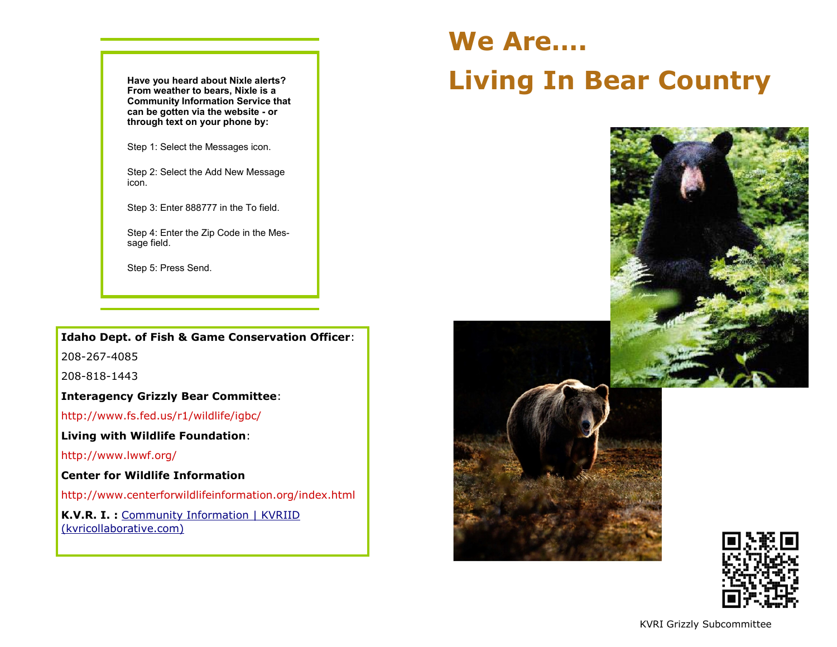**Have you heard about Nixle alerts? From weather to bears, Nixle is a Community Information Service that can be gotten via the website - or through text on your phone by:**

Step 1: Select the Messages icon.

Step 2: Select the Add New Message icon.

Step 3: Enter 888777 in the To field.

Step 4: Enter the Zip Code in the Message field.

Step 5: Press Send.

**Idaho Dept. of Fish & Game Conservation Officer**:

208-267-4085

208-818-1443

**Interagency Grizzly Bear Committee**:

http://www.fs.fed.us/r1/wildlife/igbc/

**Living with Wildlife Foundation**:

http://www.lwwf.org/

**Center for Wildlife Information**

http://www.centerforwildlifeinformation.org/index.html

**K.V.R. I. :** [Community Information | KVRIID](https://www.kvricollaborative.com/community-information) [\(kvricollaborative.com\)](https://www.kvricollaborative.com/community-information)

# **We Are…. Living In Bear Country**